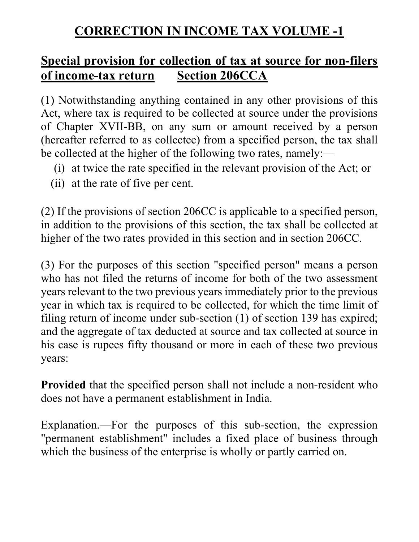# CORRECTION IN INCOME TAX VOLUME -1

# Special provision for collection of tax at source for non-filers of income-tax return Section 206CCA

(1) Notwithstanding anything contained in any other provisions of this Act, where tax is required to be collected at source under the provisions of Chapter XVII-BB, on any sum or amount received by a person (hereafter referred to as collectee) from a specified person, the tax shall be collected at the higher of the following two rates, namely:—

- (i) at twice the rate specified in the relevant provision of the Act; or
- (ii) at the rate of five per cent.

(2) If the provisions of section 206CC is applicable to a specified person, in addition to the provisions of this section, the tax shall be collected at higher of the two rates provided in this section and in section 206CC.

(3) For the purposes of this section "specified person" means a person who has not filed the returns of income for both of the two assessment years relevant to the two previous years immediately prior to the previous year in which tax is required to be collected, for which the time limit of filing return of income under sub-section (1) of section 139 has expired; and the aggregate of tax deducted at source and tax collected at source in his case is rupees fifty thousand or more in each of these two previous years:

Provided that the specified person shall not include a non-resident who does not have a permanent establishment in India.

Explanation.—For the purposes of this sub-section, the expression "permanent establishment" includes a fixed place of business through which the business of the enterprise is wholly or partly carried on.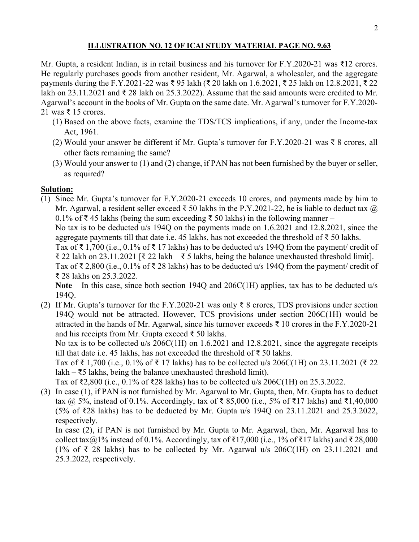## ILLUSTRATION NO. 12 OF ICAI STUDY MATERIAL PAGE NO. 9.63

Mr. Gupta, a resident Indian, is in retail business and his turnover for F.Y.2020-21 was ₹12 crores. He regularly purchases goods from another resident, Mr. Agarwal, a wholesaler, and the aggregate payments during the F.Y.2021-22 was ₹ 95 lakh (₹ 20 lakh on 1.6.2021, ₹ 25 lakh on 12.8.2021, ₹ 22 lakh on 23.11.2021 and ₹ 28 lakh on 25.3.2022). Assume that the said amounts were credited to Mr. Agarwal's account in the books of Mr. Gupta on the same date. Mr. Agarwal's turnover for F.Y.2020- 21 was ₹ 15 crores.

- (1) Based on the above facts, examine the TDS/TCS implications, if any, under the Income-tax Act, 1961.
- (2) Would your answer be different if Mr. Gupta's turnover for F.Y.2020-21 was ₹ 8 crores, all other facts remaining the same?
- (3) Would your answer to (1) and (2) change, if PAN has not been furnished by the buyer or seller, as required?

## Solution:

(1) Since Mr. Gupta's turnover for F.Y.2020-21 exceeds 10 crores, and payments made by him to Mr. Agarwal, a resident seller exceed ₹ 50 lakhs in the P.Y.2021-22, he is liable to deduct tax  $\omega$ 0.1% of ₹45 lakhs (being the sum exceeding ₹50 lakhs) in the following manner –

No tax is to be deducted u/s 194Q on the payments made on 1.6.2021 and 12.8.2021, since the aggregate payments till that date i.e. 45 lakhs, has not exceeded the threshold of ₹ 50 lakhs.

Tax of ₹ 1,700 (i.e., 0.1% of ₹ 17 lakhs) has to be deducted u/s 194Q from the payment/ credit of ₹ 22 lakh on 23.11.2021 [₹ 22 lakh – ₹ 5 lakhs, being the balance unexhausted threshold limit].

Tax of ₹ 2,800 (i.e., 0.1% of ₹ 28 lakhs) has to be deducted u/s 194Q from the payment/ credit of ₹ 28 lakhs on 25.3.2022.

Note – In this case, since both section 194Q and 206C(1H) applies, tax has to be deducted u/s 194Q.

(2) If Mr. Gupta's turnover for the F.Y.2020-21 was only  $\bar{\tau}$  8 crores, TDS provisions under section 194Q would not be attracted. However, TCS provisions under section 206C(1H) would be attracted in the hands of Mr. Agarwal, since his turnover exceeds  $\bar{\tau}$  10 crores in the F.Y.2020-21 and his receipts from Mr. Gupta exceed ₹ 50 lakhs.

No tax is to be collected u/s 206C(1H) on 1.6.2021 and 12.8.2021, since the aggregate receipts till that date i.e. 45 lakhs, has not exceeded the threshold of ₹ 50 lakhs.

Tax of ₹ 1,700 (i.e., 0.1% of ₹ 17 lakhs) has to be collected u/s 206C(1H) on 23.11.2021 (₹ 22 lakh –  $\text{\textless}5$  lakhs, being the balance unexhausted threshold limit).

Tax of ₹2,800 (i.e., 0.1% of ₹28 lakhs) has to be collected u/s 206C(1H) on 25.3.2022.

(3) In case (1), if PAN is not furnished by Mr. Agarwal to Mr. Gupta, then, Mr. Gupta has to deduct tax @ 5%, instead of 0.1%. Accordingly, tax of ₹ 85,000 (i.e., 5% of ₹17 lakhs) and ₹1,40,000 (5% of ₹28 lakhs) has to be deducted by Mr. Gupta u/s 194Q on 23.11.2021 and 25.3.2022, respectively.

In case (2), if PAN is not furnished by Mr. Gupta to Mr. Agarwal, then, Mr. Agarwal has to collect tax@1% instead of 0.1%. Accordingly, tax of ₹17,000 (i.e., 1% of ₹17 lakhs) and ₹ 28,000 (1% of ₹ 28 lakhs) has to be collected by Mr. Agarwal u/s 206C(1H) on 23.11.2021 and 25.3.2022, respectively.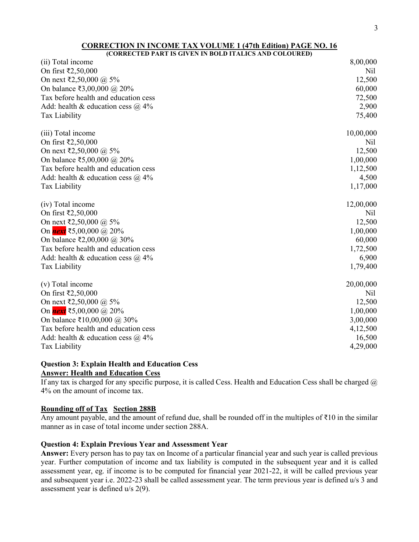| (CORRECTED PART IS GIVEN IN BOLD ITALICS AND COLOURED) |           |
|--------------------------------------------------------|-----------|
| (ii) Total income                                      | 8,00,000  |
| On first ₹2,50,000                                     | Nil       |
| On next ₹2,50,000 @ 5%                                 | 12,500    |
| On balance ₹3,00,000 @ 20%                             | 60,000    |
| Tax before health and education cess                   | 72,500    |
| Add: health & education cess $\omega$ 4%               | 2,900     |
| Tax Liability                                          | 75,400    |
| (iii) Total income                                     | 10,00,000 |
| On first ₹2,50,000                                     | Nil       |
| On next ₹2,50,000 @ 5%                                 | 12,500    |
| On balance ₹5,00,000 @ 20%                             | 1,00,000  |
| Tax before health and education cess                   | 1,12,500  |
| Add: health & education cess $\omega$ 4%               | 4,500     |
| Tax Liability                                          | 1,17,000  |
| (iv) Total income                                      | 12,00,000 |
| On first ₹2,50,000                                     | Nil       |
| On next ₹2,50,000 @ 5%                                 | 12,500    |
| On <i>next</i> ₹5,00,000 @ 20%                         | 1,00,000  |
| On balance ₹2,00,000 @ 30%                             | 60,000    |
| Tax before health and education cess                   | 1,72,500  |
| Add: health & education cess $\omega$ 4%               | 6,900     |
| Tax Liability                                          | 1,79,400  |
| (v) Total income                                       | 20,00,000 |
| On first ₹2,50,000                                     | Nil       |
| On next ₹2,50,000 @ 5%                                 | 12,500    |
| On <i>next</i> ₹5,00,000 @ 20%                         | 1,00,000  |
| On balance ₹10,00,000 @ 30%                            | 3,00,000  |
| Tax before health and education cess                   | 4,12,500  |
| Add: health & education cess $\omega$ 4%               | 16,500    |
| Tax Liability                                          | 4,29,000  |

#### Question 3: Explain Health and Education Cess Answer: Health and Education Cess

If any tax is charged for any specific purpose, it is called Cess. Health and Education Cess shall be charged  $\omega$ 4% on the amount of income tax.

#### Rounding off of Tax Section 288B

Any amount payable, and the amount of refund due, shall be rounded off in the multiples of ₹10 in the similar manner as in case of total income under section 288A.

#### Question 4: Explain Previous Year and Assessment Year

Answer: Every person has to pay tax on Income of a particular financial year and such year is called previous year. Further computation of income and tax liability is computed in the subsequent year and it is called assessment year, eg. if income is to be computed for financial year 2021-22, it will be called previous year and subsequent year i.e. 2022-23 shall be called assessment year. The term previous year is defined u/s 3 and assessment year is defined u/s 2(9).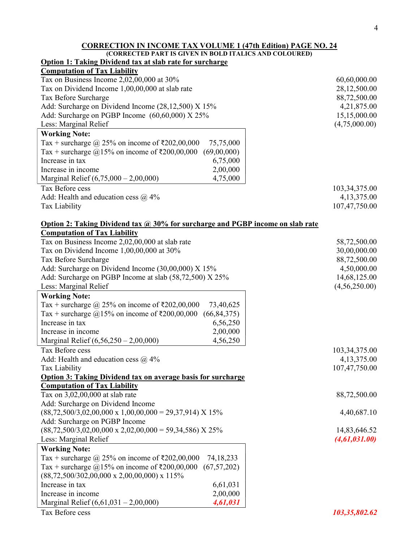#### CORRECTION IN INCOME TAX VOLUME 1 (47th Edition) PAGE NO. 24 (CORRECTED PART IS GIVEN IN BOLD ITALICS AND COLOURED)

| <b>Option 1: Taking Dividend tax at slab rate for surcharge</b>                |                 |
|--------------------------------------------------------------------------------|-----------------|
| <b>Computation of Tax Liability</b>                                            |                 |
| Tax on Business Income 2,02,00,000 at 30%                                      | 60,60,000.00    |
| Tax on Dividend Income 1,00,00,000 at slab rate                                | 28,12,500.00    |
| Tax Before Surcharge                                                           | 88,72,500.00    |
| Add: Surcharge on Dividend Income (28,12,500) X 15%                            | 4,21,875.00     |
| Add: Surcharge on PGBP Income $(60,60,000)$ X 25%                              | 15,15,000.00    |
| Less: Marginal Relief                                                          | (4,75,000.00)   |
| <b>Working Note:</b>                                                           |                 |
| Tax + surcharge @ 25% on income of ₹202,00,000<br>75,75,000                    |                 |
| (69,00,000)<br>Tax + surcharge $\omega$ 15% on income of ₹200,00,000           |                 |
| Increase in tax<br>6,75,000                                                    |                 |
| Increase in income<br>2,00,000                                                 |                 |
| 4,75,000<br>Marginal Relief $(6,75,000 - 2,00,000)$                            |                 |
| Tax Before cess                                                                | 103, 34, 375.00 |
| Add: Health and education cess $@$ 4%                                          | 4,13,375.00     |
| Tax Liability                                                                  | 107,47,750.00   |
|                                                                                |                 |
| Option 2: Taking Dividend tax @ 30% for surcharge and PGBP income on slab rate |                 |
| <b>Computation of Tax Liability</b>                                            |                 |
| Tax on Business Income 2,02,00,000 at slab rate                                | 58,72,500.00    |
| Tax on Dividend Income 1,00,00,000 at 30%                                      | 30,00,000.00    |
| Tax Before Surcharge                                                           | 88,72,500.00    |
| Add: Surcharge on Dividend Income (30,00,000) X 15%                            | 4,50,000.00     |
| Add: Surcharge on PGBP Income at slab (58,72,500) X 25%                        | 14,68,125.00    |
| Less: Marginal Relief                                                          | (4,56,250.00)   |
|                                                                                |                 |
| <b>Working Note:</b>                                                           |                 |
| Tax + surcharge @ 25% on income of ₹202,00,000<br>73,40,625                    |                 |
| Tax + surcharge $@15\%$ on income of ₹200,00,000<br>(66, 84, 375)              |                 |
| Increase in tax<br>6,56,250                                                    |                 |
| 2,00,000<br>Increase in income                                                 |                 |
| 4,56,250<br>Marginal Relief $(6,56,250 - 2,00,000)$                            |                 |
| Tax Before cess                                                                | 103, 34, 375.00 |
| Add: Health and education cess $\omega$ 4%                                     | 4,13,375.00     |
| Tax Liability                                                                  | 107,47,750.00   |
| <b>Option 3: Taking Dividend tax on average basis for surcharge</b>            |                 |
| <b>Computation of Tax Liability</b>                                            |                 |
| Tax on 3,02,00,000 at slab rate                                                | 88,72,500.00    |
| Add: Surcharge on Dividend Income                                              |                 |
| $(88,72,500/3,02,00,000 \times 1,00,00,000 = 29,37,914) \times 15\%$           | 4,40,687.10     |
| Add: Surcharge on PGBP Income                                                  |                 |
| $(88,72,500/3,02,00,000 \times 2,02,00,000 = 59,34,586)$ X 25%                 | 14,83,646.52    |
| Less: Marginal Relief                                                          | (4, 61, 031.00) |
| <b>Working Note:</b>                                                           |                 |
| Tax + surcharge @ 25% on income of ₹202,00,000<br>74, 18, 233                  |                 |
| Tax + surcharge $@15\%$ on income of ₹200,00,000<br>(67, 57, 202)              |                 |
| $(88,72,500/302,00,000 \times 2,00,00,000) \times 115\%$                       |                 |
| Increase in tax<br>6,61,031                                                    |                 |
| Increase in income<br>2,00,000                                                 |                 |
| Marginal Relief $(6,61,031 - 2,00,000)$<br>4,61,031                            |                 |
| Tax Before cess                                                                | 103,35,802.62   |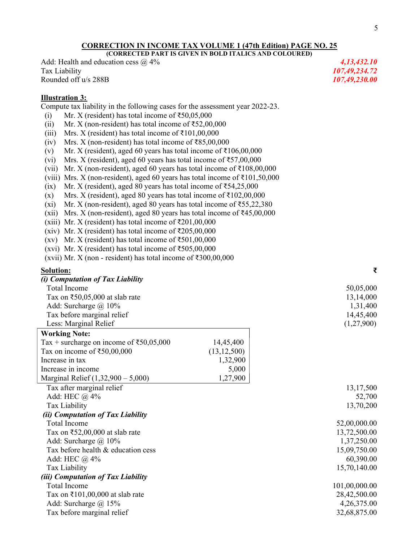#### CORRECTION IN INCOME TAX VOLUME 1 (47th Edition) PAGE NO. 25 (CORRECTED PART IS GIVEN IN BOLD ITALICS AND COLOURED)

Add: Health and education cess  $\omega$  4% 4,13,432.10 Tax Liability 107,49,234.72 Rounded off u/s 288B 107,49,230.00

#### Illustration 3:

Compute tax liability in the following cases for the assessment year 2022-23.

- (i) Mr. X (resident) has total income of  $\text{₹}50,05,000$
- (ii) Mr. X (non-resident) has total income of  $\text{\textless}52,00,000$
- (iii) Mrs. X (resident) has total income of  $\text{\textsterling}101,00,000$
- (iv) Mrs. X (non-resident) has total income of ₹85,00,000
- (v) Mr. X (resident), aged 60 years has total income of  $\bar{\tau}106,00,000$
- (vi) Mrs. X (resident), aged 60 years has total income of  $\text{\textless}57,00,000$
- (vii) Mr. X (non-resident), aged 60 years has total income of ₹108,00,000
- (viii) Mrs. X (non-resident), aged 60 years has total income of  $\text{\textless{101,50,000}}$
- (ix) Mr. X (resident), aged 80 years has total income of  $\text{\textless}54,25,000$
- (x) Mrs. X (resident), aged 80 years has total income of ₹102,00,000
- (xi) Mr. X (non-resident), aged 80 years has total income of  $\text{\textless{55,22,380}}$
- (xii) Mrs. X (non-resident), aged 80 years has total income of ₹45,00,000
- (xiii) Mr. X (resident) has total income of  $\text{\textless}201,00,000$
- (xiv) Mr. X (resident) has total income of  $\text{\textless}205,00,000$
- (xv) Mr. X (resident) has total income of  $\text{\textless}501,00,000$
- (xvi) Mr. X (resident) has total income of  $\text{\textless}505,00,000$
- (xvii) Mr. X (non resident) has total income of  $\text{\textdegree}300,00,000$

#### Solution: ₹

| (i) Computation of Tax Liability                         |               |               |
|----------------------------------------------------------|---------------|---------------|
| <b>Total Income</b>                                      |               | 50,05,000     |
| Tax on $\text{\textless}50,05,000$ at slab rate          |               | 13,14,000     |
| Add: Surcharge $\omega$ 10%                              |               | 1,31,400      |
| Tax before marginal relief                               |               | 14,45,400     |
| Less: Marginal Relief                                    |               | (1,27,900)    |
| <b>Working Note:</b>                                     |               |               |
| Tax + surcharge on income of $\text{\textless}50,05,000$ | 14,45,400     |               |
| Tax on income of $\text{\textless}50,00,000$             | (13, 12, 500) |               |
| Increase in tax                                          | 1,32,900      |               |
| Increase in income                                       | 5,000         |               |
| Marginal Relief $(1,32,900 - 5,000)$                     | 1,27,900      |               |
| Tax after marginal relief                                |               | 13,17,500     |
| Add: HEC @ 4%                                            |               | 52,700        |
| Tax Liability                                            |               | 13,70,200     |
| (ii) Computation of Tax Liability                        |               |               |
| <b>Total Income</b>                                      |               | 52,00,000.00  |
| Tax on $\text{\textless}52,00,000$ at slab rate          |               | 13,72,500.00  |
| Add: Surcharge $\omega$ 10%                              |               | 1,37,250.00   |
| Tax before health & education cess                       |               | 15,09,750.00  |
| Add: HEC $@$ 4%                                          |               | 60,390.00     |
| Tax Liability                                            |               | 15,70,140.00  |
| (iii) Computation of Tax Liability                       |               |               |
| <b>Total Income</b>                                      |               | 101,00,000.00 |
| Tax on $\text{\textsterling}101,00,000$ at slab rate     |               | 28,42,500.00  |
| Add: Surcharge $\omega$ 15%                              |               | 4,26,375.00   |
| Tax before marginal relief                               |               | 32,68,875.00  |
|                                                          |               |               |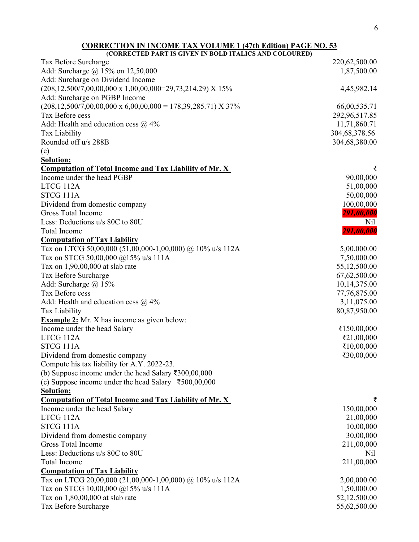| (CORRECTED PART IS GIVEN IN BOLD ITALICS AND COLOURED)                              |                  |
|-------------------------------------------------------------------------------------|------------------|
| Tax Before Surcharge                                                                | 220,62,500.00    |
| Add: Surcharge @ 15% on 12,50,000                                                   | 1,87,500.00      |
| Add: Surcharge on Dividend Income                                                   |                  |
| $(208, 12, 500/7, 00, 00, 000 \times 1, 00, 00, 000=29, 73, 214.29)$ X 15%          | 4,45,982.14      |
| Add: Surcharge on PGBP Income                                                       |                  |
| $(208, 12, 500/7, 00, 00, 000 \times 6, 00, 00, 000 = 178, 39, 285.71) \times 37\%$ | 66,00,535.71     |
| Tax Before cess                                                                     | 292,96,517.85    |
| Add: Health and education cess $@$ 4%                                               | 11,71,860.71     |
| Tax Liability                                                                       | 304, 68, 378. 56 |
| Rounded off u/s 288B                                                                | 304,68,380.00    |
| (c)                                                                                 |                  |
| <b>Solution:</b>                                                                    |                  |
| <b>Computation of Total Income and Tax Liability of Mr. X</b>                       | ₹                |
| Income under the head PGBP                                                          | 90,00,000        |
| LTCG 112A                                                                           | 51,00,000        |
| STCG 111A                                                                           | 50,00,000        |
| Dividend from domestic company                                                      | 100,00,000       |
| Gross Total Income                                                                  | 291,00,000       |
| Less: Deductions u/s 80C to 80U                                                     | Nil              |
| Total Income                                                                        | 291,00,000       |
| <b>Computation of Tax Liability</b>                                                 |                  |
| Tax on LTCG 50,00,000 (51,00,000-1,00,000) @ 10% u/s 112A                           | 5,00,000.00      |
| Tax on STCG 50,00,000 @15% u/s 111A                                                 | 7,50,000.00      |
| Tax on 1,90,00,000 at slab rate                                                     | 55,12,500.00     |
| Tax Before Surcharge                                                                | 67,62,500.00     |
| Add: Surcharge @ 15%                                                                | 10,14,375.00     |
| Tax Before cess                                                                     | 77,76,875.00     |
| Add: Health and education cess $\omega$ 4%                                          | 3,11,075.00      |
| Tax Liability                                                                       | 80,87,950.00     |
| <b>Example 2:</b> Mr. X has income as given below:                                  |                  |
| Income under the head Salary                                                        | ₹150,00,000      |
| LTCG 112A                                                                           | ₹21,00,000       |
| STCG 111A                                                                           | ₹10,00,000       |
| Dividend from domestic company                                                      | ₹30,00,000       |
| Compute his tax liability for A.Y. 2022-23.                                         |                  |
| (b) Suppose income under the head Salary $\text{\textdegree}300,00,000$             |                  |
| (c) Suppose income under the head Salary $\overline{\epsilon}$ 500,00,000           |                  |
| <b>Solution:</b>                                                                    |                  |
| <b>Computation of Total Income and Tax Liability of Mr. X</b>                       |                  |
| Income under the head Salary                                                        | 150,00,000       |
| LTCG 112A                                                                           | 21,00,000        |
| STCG 111A                                                                           | 10,00,000        |
| Dividend from domestic company                                                      | 30,00,000        |
| <b>Gross Total Income</b>                                                           | 211,00,000       |
| Less: Deductions u/s 80C to 80U                                                     | Nil              |
| Total Income                                                                        | 211,00,000       |
| <b>Computation of Tax Liability</b>                                                 |                  |
| Tax on LTCG 20,00,000 (21,00,000-1,00,000) @ 10% u/s 112A                           | 2,00,000.00      |
| Tax on STCG 10,00,000 @15% u/s 111A                                                 | 1,50,000.00      |
| Tax on 1,80,00,000 at slab rate                                                     | 52,12,500.00     |
| Tax Before Surcharge                                                                | 55,62,500.00     |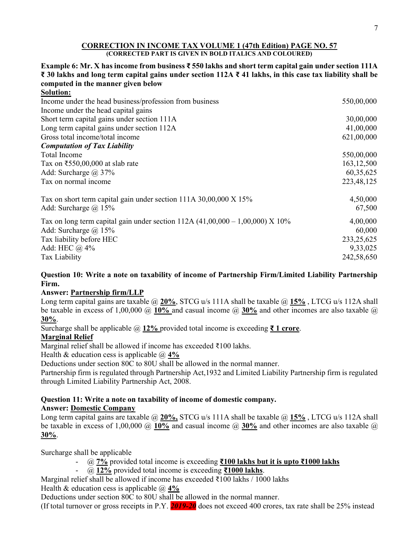#### CORRECTION IN INCOME TAX VOLUME 1 (47th Edition) PAGE NO. 57 (CORRECTED PART IS GIVEN IN BOLD ITALICS AND COLOURED)

#### Example 6: Mr. X has income from business ₹ 550 lakhs and short term capital gain under section 111A ₹ 30 lakhs and long term capital gains under section 112A ₹ 41 lakhs, in this case tax liability shall be computed in the manner given below Solution:

| ooiuuon.                                                                        |              |
|---------------------------------------------------------------------------------|--------------|
| Income under the head business/profession from business                         | 550,00,000   |
| Income under the head capital gains                                             |              |
| Short term capital gains under section 111A                                     | 30,00,000    |
| Long term capital gains under section 112A                                      | 41,00,000    |
| Gross total income/total income                                                 | 621,00,000   |
| <b>Computation of Tax Liability</b>                                             |              |
| Total Income                                                                    | 550,00,000   |
| Tax on $\text{\textless}550,00,000$ at slab rate                                | 163, 12, 500 |
| Add: Surcharge $\omega$ 37%                                                     | 60, 35, 625  |
| Tax on normal income                                                            | 223,48,125   |
| Tax on short term capital gain under section 111A 30,00,000 X 15%               | 4,50,000     |
| Add: Surcharge $\omega$ 15%                                                     | 67,500       |
| Tax on long term capital gain under section 112A $(41,00,000 - 1,00,000)$ X 10% | 4,00,000     |
| Add: Surcharge $\omega$ 15%                                                     | 60,000       |
| Tax liability before HEC                                                        | 233, 25, 625 |
| Add: HEC $\omega$ 4%                                                            | 9,33,025     |
| Tax Liability                                                                   | 242,58,650   |

## Question 10: Write a note on taxability of income of Partnership Firm/Limited Liability Partnership Firm.

## Answer: Partnership firm/LLP

Long term capital gains are taxable  $\omega$  20%, STCG u/s 111A shall be taxable  $\omega$  15%, LTCG u/s 112A shall be taxable in excess of 1,00,000  $\omega$  10% and casual income  $\omega$  30% and other incomes are also taxable  $\omega$ 30%.

Surcharge shall be applicable @ 12% provided total income is exceeding  $\bar{\tau}$  1 crore.

## Marginal Relief

Marginal relief shall be allowed if income has exceeded ₹100 lakhs.

Health & education cess is applicable  $\omega$  4%

Deductions under section 80C to 80U shall be allowed in the normal manner.

Partnership firm is regulated through Partnership Act,1932 and Limited Liability Partnership firm is regulated through Limited Liability Partnership Act, 2008.

#### Question 11: Write a note on taxability of income of domestic company. Answer: Domestic Company

Long term capital gains are taxable  $@20\%$ , STCG u/s 111A shall be taxable  $@15\%$ , LTCG u/s 112A shall be taxable in excess of 1,00,000  $\omega$  10% and casual income  $\omega$  30% and other incomes are also taxable  $\omega$ 30%.

Surcharge shall be applicable

- $\omega$  7% provided total income is exceeding ₹100 lakhs but it is upto ₹1000 lakhs
- $@. 12\%$  provided total income is exceeding ₹1000 lakhs.

Marginal relief shall be allowed if income has exceeded ₹100 lakhs / 1000 lakhs

Health & education cess is applicable  $\omega$  4%

Deductions under section 80C to 80U shall be allowed in the normal manner.

(If total turnover or gross receipts in P.Y. 2019-20) does not exceed 400 crores, tax rate shall be 25% instead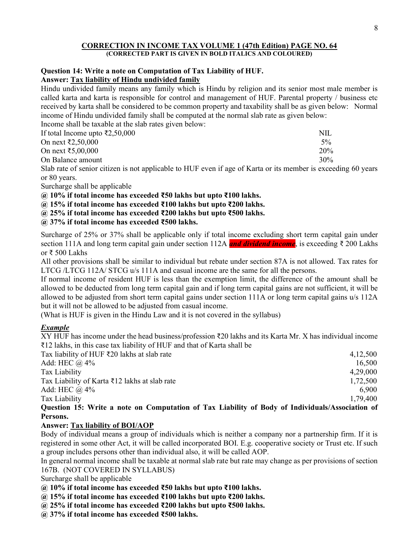#### CORRECTION IN INCOME TAX VOLUME 1 (47th Edition) PAGE NO. 64 (CORRECTED PART IS GIVEN IN BOLD ITALICS AND COLOURED)

#### Question 14: Write a note on Computation of Tax Liability of HUF. Answer: Tax liability of Hindu undivided family

Hindu undivided family means any family which is Hindu by religion and its senior most male member is called karta and karta is responsible for control and management of HUF. Parental property / business etc received by karta shall be considered to be common property and taxability shall be as given below: Normal income of Hindu undivided family shall be computed at the normal slab rate as given below:

Income shall be taxable at the slab rates given below:

| If total Income upto $\bar{\xi}2,50,000$ | NII.   |
|------------------------------------------|--------|
| On next ₹2,50,000                        | $5\%$  |
| On next ₹5,00,000                        | 20%    |
| On Balance amount                        | $30\%$ |
|                                          |        |

Slab rate of senior citizen is not applicable to HUF even if age of Karta or its member is exceeding 60 years or 80 years.

Surcharge shall be applicable

 $@10%$  if total income has exceeded ₹50 lakhs but upto ₹100 lakhs.

 $@.15\%$  if total income has exceeded ₹100 lakhs but upto ₹200 lakhs.

 $@.25\%$  if total income has exceeded ₹200 lakhs but upto ₹500 lakhs.

## @ 37% if total income has exceeded ₹500 lakhs.

Surcharge of 25% or 37% shall be applicable only if total income excluding short term capital gain under section 111A and long term capital gain under section 112A and dividend income, is exceeding ₹ 200 Lakhs or ₹ 500 Lakhs

All other provisions shall be similar to individual but rebate under section 87A is not allowed. Tax rates for LTCG /LTCG 112A/ STCG u/s 111A and casual income are the same for all the persons.

If normal income of resident HUF is less than the exemption limit, the difference of the amount shall be allowed to be deducted from long term capital gain and if long term capital gains are not sufficient, it will be allowed to be adjusted from short term capital gains under section 111A or long term capital gains u/s 112A but it will not be allowed to be adjusted from casual income.

(What is HUF is given in the Hindu Law and it is not covered in the syllabus)

## **Example**

XY HUF has income under the head business/profession ₹20 lakhs and its Karta Mr. X has individual income ₹12 lakhs, in this case tax liability of HUF and that of Karta shall be

| Tax liability of HUF ₹20 lakhs at slab rate                                                     | 4,12,500 |
|-------------------------------------------------------------------------------------------------|----------|
| Add: HEC $\omega$ 4%                                                                            | 16,500   |
| Tax Liability                                                                                   | 4,29,000 |
| Tax Liability of Karta $\overline{\xi}$ 12 lakhs at slab rate                                   | 1,72,500 |
| Add: HEC $\omega$ 4%                                                                            | 6.900    |
| Tax Liability                                                                                   | 1,79,400 |
| Question 15: Write a note on Computation of Tax Liability of Body of Individuals/Association of |          |

Persons.

## Answer: Tax liability of BOI/AOP

Body of individual means a group of individuals which is neither a company nor a partnership firm. If it is registered in some other Act, it will be called incorporated BOI. E.g. cooperative society or Trust etc. If such a group includes persons other than individual also, it will be called AOP.

In general normal income shall be taxable at normal slab rate but rate may change as per provisions of section 167B. (NOT COVERED IN SYLLABUS)

Surcharge shall be applicable

 $@10\%$  if total income has exceeded ₹50 lakhs but upto ₹100 lakhs.

 $@15%$  if total income has exceeded ₹100 lakhs but upto ₹200 lakhs.

 $@.25\%$  if total income has exceeded ₹200 lakhs but upto ₹500 lakhs.

@ 37% if total income has exceeded ₹500 lakhs.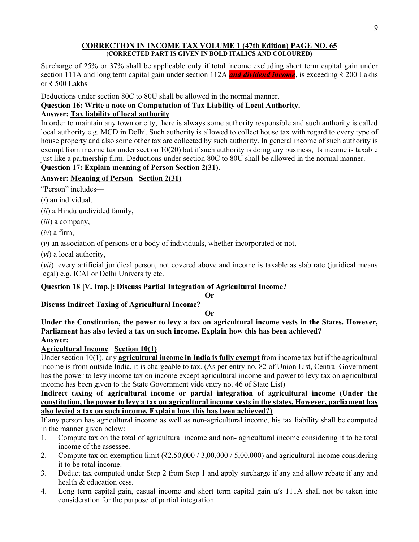#### CORRECTION IN INCOME TAX VOLUME 1 (47th Edition) PAGE NO. 65 (CORRECTED PART IS GIVEN IN BOLD ITALICS AND COLOURED)

Surcharge of 25% or 37% shall be applicable only if total income excluding short term capital gain under section 111A and long term capital gain under section 112A and dividend income, is exceeding ₹ 200 Lakhs or ₹ 500 Lakhs

Deductions under section 80C to 80U shall be allowed in the normal manner.

## Question 16: Write a note on Computation of Tax Liability of Local Authority.

## Answer: Tax liability of local authority

In order to maintain any town or city, there is always some authority responsible and such authority is called local authority e.g. MCD in Delhi. Such authority is allowed to collect house tax with regard to every type of house property and also some other tax are collected by such authority. In general income of such authority is exempt from income tax under section 10(20) but if such authority is doing any business, its income is taxable just like a partnership firm. Deductions under section 80C to 80U shall be allowed in the normal manner.

# Question 17: Explain meaning of Person Section 2(31).

## Answer: Meaning of Person Section 2(31)

"Person" includes—

 $(i)$  an individual,

(ii) a Hindu undivided family,

(*iii*) a company,

 $(iv)$  a firm,

(v) an association of persons or a body of individuals, whether incorporated or not,

(vi) a local authority,

(vii) every artificial juridical person, not covered above and income is taxable as slab rate (juridical means legal) e.g. ICAI or Delhi University etc.

## Question 18 [V. Imp.]: Discuss Partial Integration of Agricultural Income?

Or

## Discuss Indirect Taxing of Agricultural Income?

#### Or

Under the Constitution, the power to levy a tax on agricultural income vests in the States. However, Parliament has also levied a tax on such income. Explain how this has been achieved? Answer:

## Agricultural Income Section 10(1)

Under section  $10(1)$ , any **agricultural income in India is fully exempt** from income tax but if the agricultural income is from outside India, it is chargeable to tax. (As per entry no. 82 of Union List, Central Government has the power to levy income tax on income except agricultural income and power to levy tax on agricultural income has been given to the State Government vide entry no. 46 of State List)

## Indirect taxing of agricultural income or partial integration of agricultural income (Under the constitution, the power to levy a tax on agricultural income vests in the states. However, parliament has also levied a tax on such income. Explain how this has been achieved?)

If any person has agricultural income as well as non-agricultural income, his tax liability shall be computed in the manner given below:

- 1. Compute tax on the total of agricultural income and non- agricultural income considering it to be total income of the assessee.
- 2. Compute tax on exemption limit ( $\overline{(2,50,000/3,00,000/5,00,000)}$  and agricultural income considering it to be total income.
- 3. Deduct tax computed under Step 2 from Step 1 and apply surcharge if any and allow rebate if any and health & education cess.
- 4. Long term capital gain, casual income and short term capital gain u/s 111A shall not be taken into consideration for the purpose of partial integration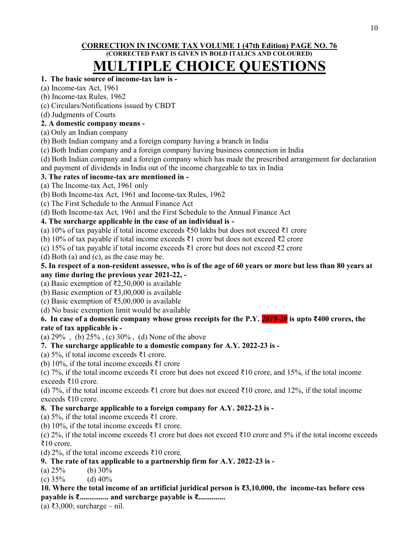## CORRECTION IN INCOME TAX VOLUME 1 (47th Edition) PAGE NO. 76 (CORRECTED PART IS GIVEN IN BOLD ITALICS AND COLOURED)

# MULTIPLE CHOICE QUESTIONS

## 1. The basic source of income-tax law is -

- (a) Income-tax Act, 1961
- (b) Income-tax Rules, 1962
- (c) Circulars/Notifications issued by CBDT
- (d) Judgments of Courts

## 2. A domestic company means -

- (a) Only an Indian company
- (b) Both Indian company and a foreign company having a branch in India
- (c) Both Indian company and a foreign company having business connection in India
- (d) Both Indian company and a foreign company which has made the prescribed arrangement for declaration

and payment of dividends in India out of the income chargeable to tax in India

## 3. The rates of income-tax are mentioned in -

- (a) The Income-tax Act, 1961 only
- (b) Both Income-tax Act, 1961 and Income-tax Rules, 1962
- (c) The First Schedule to the Annual Finance Act
- (d) Both Income-tax Act, 1961 and the First Schedule to the Annual Finance Act

## 4. The surcharge applicable in the case of an individual is -

- (a) 10% of tax payable if total income exceeds  $\overline{3}$ 50 lakhs but does not exceed  $\overline{3}$ 1 crore
- (b) 10% of tax payable if total income exceeds ₹1 crore but does not exceed ₹2 crore
- (c) 15% of tax payable if total income exceeds ₹1 crore but does not exceed ₹2 crore

(d) Both (a) and (c), as the case may be.

## 5. In respect of a non-resident assessee, who is of the age of 60 years or more but less than 80 years at any time during the previous year 2021-22, -

- (a) Basic exemption of ₹2,50,000 is available
- (b) Basic exemption of ₹3,00,000 is available
- (c) Basic exemption of ₹5,00,000 is available
- (d) No basic exemption limit would be available

## 6. In case of a domestic company whose gross receipts for the P.Y. 2019-20 is upto ₹400 crores, the rate of tax applicable is -

(a) 29% , (b) 25% , (c) 30% , (d) None of the above

## 7. The surcharge applicable to a domestic company for A.Y. 2022-23 is -

- (a) 5%, if total income exceeds ₹1 crore.
- (b) 10%, if the total income exceeds ₹1 crore
- (c) 7%, if the total income exceeds ₹1 crore but does not exceed ₹10 crore, and 15%, if the total income exceeds ₹10 crore.

(d) 7%, if the total income exceeds ₹1 crore but does not exceed ₹10 crore, and 12%, if the total income exceeds ₹10 crore.

## 8. The surcharge applicable to a foreign company for A.Y. 2022-23 is -

- (a) 5%, if the total income exceeds ₹1 crore.
- (b) 10%, if the total income exceeds ₹1 crore.

(c) 2%, if the total income exceeds  $\bar{\xi}$ 1 crore but does not exceed  $\bar{\xi}$ 10 crore and 5% if the total income exceeds ₹10 crore.

(d) 2%, if the total income exceeds ₹10 crore.

## 9. The rate of tax applicable to a partnership firm for A.Y. 2022-23 is -

(a)  $25\%$  (b)  $30\%$ 

(c)  $35\%$  (d)  $40\%$ 

10. Where the total income of an artificial juridical person is ₹3,10,000, the income-tax before cess payable is ₹............... and surcharge payable is ₹..............

(a) ₹3,000; surcharge – nil.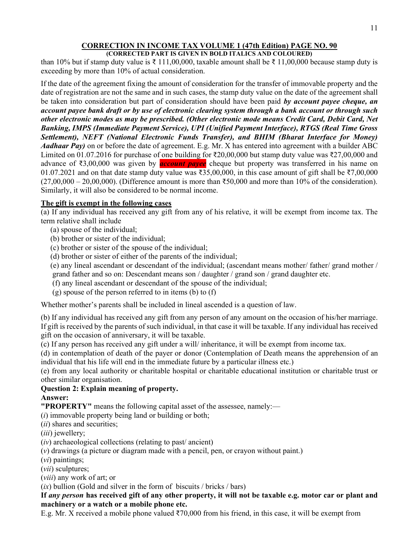#### CORRECTION IN INCOME TAX VOLUME 1 (47th Edition) PAGE NO. 90 (CORRECTED PART IS GIVEN IN BOLD ITALICS AND COLOURED)

than 10% but if stamp duty value is  $\bar{\tau}$  111,00,000, taxable amount shall be  $\bar{\tau}$  11,00,000 because stamp duty is exceeding by more than 10% of actual consideration.

If the date of the agreement fixing the amount of consideration for the transfer of immovable property and the date of registration are not the same and in such cases, the stamp duty value on the date of the agreement shall be taken into consideration but part of consideration should have been paid by account payee cheque, an account payee bank draft or by use of electronic clearing system through a bank account or through such other electronic modes as may be prescribed. (Other electronic mode means Credit Card, Debit Card, Net Banking, IMPS (Immediate Payment Service), UPI (Unified Payment Interface), RTGS (Real Time Gross Settlement), NEFT (National Electronic Funds Transfer), and BHIM (Bharat Interface for Money) Aadhaar Pay) on or before the date of agreement. E.g. Mr. X has entered into agreement with a builder ABC Limited on 01.07.2016 for purchase of one building for ₹20,00,000 but stamp duty value was ₹27,00,000 and advance of  $\bar{\epsilon}$ 3,00,000 was given by **account payee** cheque but property was transferred in his name on 01.07.2021 and on that date stamp duty value was ₹35,00,000, in this case amount of gift shall be ₹7,00,000  $(27,00,000 - 20,00,000)$ . (Difference amount is more than ₹50,000 and more than 10% of the consideration). Similarly, it will also be considered to be normal income.

## The gift is exempt in the following cases

(a) If any individual has received any gift from any of his relative, it will be exempt from income tax. The term relative shall include

- (a) spouse of the individual;
- (b) brother or sister of the individual;
- (c) brother or sister of the spouse of the individual;
- (d) brother or sister of either of the parents of the individual;
- (e) any lineal ascendant or descendant of the individual; (ascendant means mother/ father/ grand mother / grand father and so on: Descendant means son / daughter / grand son / grand daughter etc.
- (f) any lineal ascendant or descendant of the spouse of the individual;
- (g) spouse of the person referred to in items (b) to (f)

Whether mother's parents shall be included in lineal ascended is a question of law.

(b) If any individual has received any gift from any person of any amount on the occasion of his/her marriage. If gift is received by the parents of such individual, in that case it will be taxable. If any individual has received gift on the occasion of anniversary, it will be taxable.

(c) If any person has received any gift under a will/ inheritance, it will be exempt from income tax.

(d) in contemplation of death of the payer or donor (Contemplation of Death means the apprehension of an individual that his life will end in the immediate future by a particular illness etc.)

(e) from any local authority or charitable hospital or charitable educational institution or charitable trust or other similar organisation.

## Question 2: Explain meaning of property.

## Answer:

"PROPERTY" means the following capital asset of the assessee, namely:—

 $(i)$  immovable property being land or building or both;

- (*ii*) shares and securities;
- (*iii*) jewellery;
- $(iv)$  archaeological collections (relating to past/ ancient)

(v) drawings (a picture or diagram made with a pencil, pen, or crayon without paint.)

(vi) paintings;

(vii) sculptures;

(viii) any work of art; or

 $(ix)$  bullion (Gold and silver in the form of biscuits / bricks / bars)

## If any person has received gift of any other property, it will not be taxable e.g. motor car or plant and machinery or a watch or a mobile phone etc.

E.g. Mr. X received a mobile phone valued ₹70,000 from his friend, in this case, it will be exempt from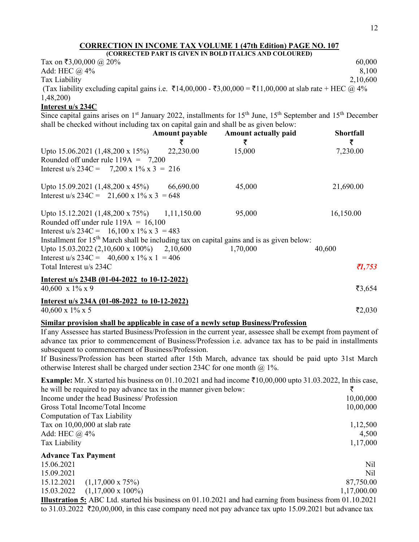| (CORRECTED PART IS GIVEN IN BOLD ITALICS AND COLOURED)                                                  |          |
|---------------------------------------------------------------------------------------------------------|----------|
| Tax on ₹3,00,000 @ 20%                                                                                  | 60,000   |
| Add: HEC $\omega$ 4%                                                                                    | 8.100    |
| Tax Liability                                                                                           | 2,10,600 |
| (Tax liability excluding capital gains i.e. ₹14,00,000 - ₹3,00,000 = ₹11,00,000 at slab rate + HEC @ 4% |          |
| 1,48,200                                                                                                |          |

## Interest u/s 234C

Since capital gains arises on 1<sup>st</sup> January 2022, installments for 15<sup>th</sup> June, 15<sup>th</sup> September and 15<sup>th</sup> December shall be checked without including tax on capital gain and shall be as given below:

|                                                                                             | Amount payable | <b>Amount actually paid</b><br>₹ | <b>Shortfall</b><br>₹ |
|---------------------------------------------------------------------------------------------|----------------|----------------------------------|-----------------------|
| Upto $15.06.2021(1,48,200 \times 15\%)$                                                     | 22,230.00      | 15,000                           | 7,230.00              |
| Rounded off under rule $119A = 7,200$                                                       |                |                                  |                       |
| Interest u/s 234C = 7,200 x 1% x 3 = 216                                                    |                |                                  |                       |
| Upto 15.09.2021 $(1,48,200 \times 45%)$                                                     | 66,690.00      | 45,000                           | 21,690.00             |
| Interest u/s 234C = 21,600 x 1% x 3 = 648                                                   |                |                                  |                       |
| Upto 15.12.2021 $(1,48,200 \times 75%)$ 1,11,150.00                                         |                | 95,000                           | 16,150.00             |
| Rounded off under rule $119A = 16,100$                                                      |                |                                  |                       |
| Interest u/s 234C = 16,100 x 1% x 3 = 483                                                   |                |                                  |                       |
| Installment for $15th$ March shall be including tax on capital gains and is as given below: |                |                                  |                       |
| Upto 15.03.2022 (2,10,600 x 100%) 2,10,600                                                  |                | 1,70,000                         | 40,600                |
| Interest u/s 234C = $40,600 \times 1\% \times 1 = 406$                                      |                |                                  |                       |
| Total Interest u/s 234C                                                                     |                |                                  | 71,753                |
| Interest u/s 234B (01-04-2022 to 10-12-2022)                                                |                |                                  |                       |
| 40,600 x $1\%$ x 9                                                                          |                |                                  | ₹3,654                |

#### Interest u/s 234A (01-08-2022 to 10-12-2022)

 $\frac{40,600 \times 1\% \times 5}{2,030}$ 

## Similar provision shall be applicable in case of a newly setup Business/Profession

If any Assessee has started Business/Profession in the current year, assessee shall be exempt from payment of advance tax prior to commencement of Business/Profession i.e. advance tax has to be paid in installments subsequent to commencement of Business/Profession.

If Business/Profession has been started after 15th March, advance tax should be paid upto 31st March otherwise Interest shall be charged under section 234C for one month  $@$  1%.

| <b>Example:</b> Mr. X started his business on 01.10.2021 and had income $\bar{\tau}10,00,000$ upto 31.03.2022, In this case, |             |
|------------------------------------------------------------------------------------------------------------------------------|-------------|
| he will be required to pay advance tax in the manner given below:                                                            |             |
| Income under the head Business/Profession                                                                                    | 10,00,000   |
| Gross Total Income/Total Income                                                                                              | 10,00,000   |
| Computation of Tax Liability                                                                                                 |             |
| Tax on 10,00,000 at slab rate                                                                                                | 1,12,500    |
| Add: HEC $\omega$ 4%                                                                                                         | 4,500       |
| Tax Liability                                                                                                                | 1,17,000    |
| <b>Advance Tax Payment</b>                                                                                                   |             |
| 15.06.2021                                                                                                                   | Nil         |
| 15.09.2021                                                                                                                   | Nil         |
| $(1,17,000 \times 75\%)$<br>15.12.2021                                                                                       | 87,750.00   |
| 15.03.2022<br>$(1,17,000 \times 100\%)$                                                                                      | 1,17,000.00 |
| <b>Illustration 5:</b> ABC Ltd. started his business on 01.10.2021 and had earning from business from 01.10.2021             |             |

to 31.03.2022  $\bar{\tau}$ 20,00,000, in this case company need not pay advance tax upto 15.09.2021 but advance tax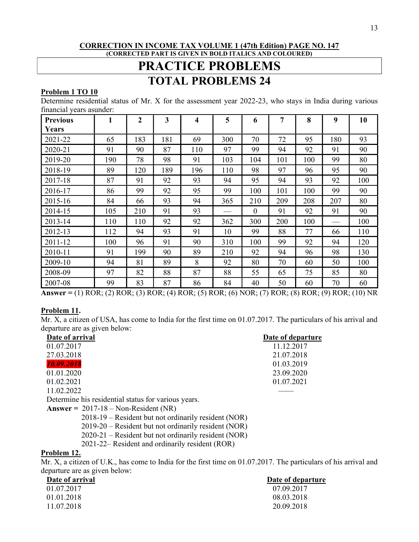#### CORRECTION IN INCOME TAX VOLUME 1 (47th Edition) PAGE NO. 147 (CORRECTED PART IS GIVEN IN BOLD ITALICS AND COLOURED)

# PRACTICE PROBLEMS TOTAL PROBLEMS 24

#### Problem 1 TO 10

Determine residential status of Mr. X for the assessment year 2022-23, who stays in India during various financial years asunder:

| <b>Previous</b> | 1   | $\overline{2}$ | 3   | 4   | 5   | 6            | 7   | 8   | 9   | 10  |
|-----------------|-----|----------------|-----|-----|-----|--------------|-----|-----|-----|-----|
| Years           |     |                |     |     |     |              |     |     |     |     |
| 2021-22         | 65  | 183            | 181 | 69  | 300 | 70           | 72  | 95  | 180 | 93  |
| 2020-21         | 91  | 90             | 87  | 110 | 97  | 99           | 94  | 92  | 91  | 90  |
| 2019-20         | 190 | 78             | 98  | 91  | 103 | 104          | 101 | 100 | 99  | 80  |
| 2018-19         | 89  | 120            | 189 | 196 | 110 | 98           | 97  | 96  | 95  | 90  |
| 2017-18         | 87  | 91             | 92  | 93  | 94  | 95           | 94  | 93  | 92  | 100 |
| 2016-17         | 86  | 99             | 92  | 95  | 99  | 100          | 101 | 100 | 99  | 90  |
| 2015-16         | 84  | 66             | 93  | 94  | 365 | 210          | 209 | 208 | 207 | 80  |
| 2014-15         | 105 | 210            | 91  | 93  |     | $\mathbf{0}$ | 91  | 92  | 91  | 90  |
| 2013-14         | 110 | 110            | 92  | 92  | 362 | 300          | 200 | 100 |     | 100 |
| 2012-13         | 112 | 94             | 93  | 91  | 10  | 99           | 88  | 77  | 66  | 110 |
| 2011-12         | 100 | 96             | 91  | 90  | 310 | 100          | 99  | 92  | 94  | 120 |
| 2010-11         | 91  | 199            | 90  | 89  | 210 | 92           | 94  | 96  | 98  | 130 |
| 2009-10         | 94  | 81             | 89  | 8   | 92  | 80           | 70  | 60  | 50  | 100 |
| 2008-09         | 97  | 82             | 88  | 87  | 88  | 55           | 65  | 75  | 85  | 80  |
| 2007-08         | 99  | 83             | 87  | 86  | 84  | 40           | 50  | 60  | 70  | 60  |

Answer = (1) ROR; (2) ROR; (3) ROR; (4) ROR; (5) ROR; (6) NOR; (7) ROR; (8) ROR; (9) ROR; (10) NR

#### Problem 11.

Mr. X, a citizen of USA, has come to India for the first time on 01.07.2017. The particulars of his arrival and departure are as given below:

| Date of arrival                                     | Date of departure |
|-----------------------------------------------------|-------------------|
| 01.07.2017                                          | 11.12.2017        |
| 27.03.2018                                          | 21.07.2018        |
| 10.09.2018                                          | 01.03.2019        |
| 01.01.2020                                          | 23.09.2020        |
| 01.02.2021                                          | 01.07.2021        |
| 11.02.2022                                          |                   |
| Determine his residential status for various years. |                   |
| Answer = $2017-18 - \text{Non-Resident (NR)}$       |                   |

2018-19 – Resident but not ordinarily resident (NOR)

2019-20 – Resident but not ordinarily resident (NOR)

2020-21 – Resident but not ordinarily resident (NOR)

2021-22– Resident and ordinarily resident (ROR)

## Problem 12.

Mr. X, a citizen of U.K., has come to India for the first time on 01.07.2017. The particulars of his arrival and departure are as given below:

| Date of arrival | Date of departure |
|-----------------|-------------------|
| 01.07.2017      | 07.09.2017        |
| 01.01.2018      | 08.03.2018        |
| 11.07.2018      | 20.09.2018        |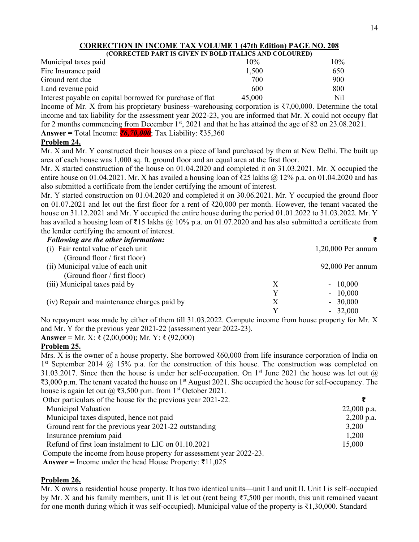| (CORRECTED PART IS GIVEN IN BOLD ITALICS AND COLOURED)    |        |     |
|-----------------------------------------------------------|--------|-----|
| Municipal taxes paid                                      | $10\%$ | 10% |
| Fire Insurance paid                                       | 1,500  | 650 |
| Ground rent due                                           | 700    | 900 |
| Land revenue paid                                         | 600    | 800 |
| Interest payable on capital borrowed for purchase of flat | 45,000 | Nil |

Income of Mr. X from his proprietary business–warehousing corporation is  $\overline{37,00,000}$ . Determine the total income and tax liability for the assessment year 2022-23, you are informed that Mr. X could not occupy flat for 2 months commencing from December 1<sup>st</sup>, 2021 and that he has attained the age of 82 on 23.08.2021. Answer = Total Income: ₹6,70,000; Tax Liability: ₹35,360

#### Problem 24.

Mr. X and Mr. Y constructed their houses on a piece of land purchased by them at New Delhi. The built up area of each house was 1,000 sq. ft. ground floor and an equal area at the first floor.

Mr. X started construction of the house on 01.04.2020 and completed it on 31.03.2021. Mr. X occupied the entire house on 01.04.2021. Mr. X has availed a housing loan of ₹25 lakhs @ 12% p.a. on 01.04.2020 and has also submitted a certificate from the lender certifying the amount of interest.

Mr. Y started construction on 01.04.2020 and completed it on 30.06.2021. Mr. Y occupied the ground floor on 01.07.2021 and let out the first floor for a rent of ₹20,000 per month. However, the tenant vacated the house on 31.12.2021 and Mr. Y occupied the entire house during the period 01.01.2022 to 31.03.2022. Mr. Y has availed a housing loan of ₹15 lakhs @ 10% p.a. on 01.07.2020 and has also submitted a certificate from the lender certifying the amount of interest.

| <b>Following are the other information:</b> |   |                      |
|---------------------------------------------|---|----------------------|
| (i) Fair rental value of each unit          |   | $1,20,000$ Per annum |
| (Ground floor / first floor)                |   |                      |
| (ii) Municipal value of each unit           |   | 92,000 Per annum     |
| (Ground floor / first floor)                |   |                      |
| (iii) Municipal taxes paid by               | X | $-10,000$            |
|                                             | Y | $-10,000$            |
| (iv) Repair and maintenance charges paid by | X | $-30,000$            |
|                                             | v | $-32,000$            |

No repayment was made by either of them till 31.03.2022. Compute income from house property for Mr. X and Mr. Y for the previous year 2021-22 (assessment year 2022-23).

Answer = Mr. X: ₹ (2,00,000); Mr. Y: ₹ (92,000)

#### Problem 25.

Mrs. X is the owner of a house property. She borrowed ₹60,000 from life insurance corporation of India on 1<sup>st</sup> September 2014 @ 15% p.a. for the construction of this house. The construction was completed on 31.03.2017. Since then the house is under her self-occupation. On 1<sup>st</sup> June 2021 the house was let out  $\omega$ ₹3,000 p.m. The tenant vacated the house on 1<sup>st</sup> August 2021. She occupied the house for self-occupancy. The house is again let out  $(a)$  ₹3,500 p.m. from 1<sup>st</sup> October 2021.

| Other particulars of the house for the previous year 2021-22.       |               |
|---------------------------------------------------------------------|---------------|
| Municipal Valuation                                                 | $22,000$ p.a. |
| Municipal taxes disputed, hence not paid                            | $2,200$ p.a.  |
| Ground rent for the previous year 2021-22 outstanding               | 3,200         |
| Insurance premium paid                                              | 1,200         |
| Refund of first loan instalment to LIC on 01.10.2021                | 15,000        |
| Compute the income from house property for assessment year 2022-23. |               |

Answer = Income under the head House Property: ₹11,025

#### Problem 26.

Mr. X owns a residential house property. It has two identical units—unit I and unit II. Unit I is self–occupied by Mr. X and his family members, unit II is let out (rent being ₹7,500 per month, this unit remained vacant for one month during which it was self-occupied). Municipal value of the property is ₹1,30,000. Standard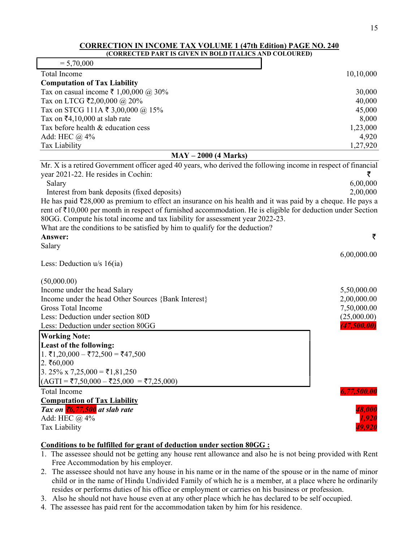| (CORRECTED PART IS GIVEN IN BOLD ITALICS AND COLOURED)                                                                 |             |
|------------------------------------------------------------------------------------------------------------------------|-------------|
| $= 5,70,000$                                                                                                           |             |
| <b>Total Income</b>                                                                                                    | 10,10,000   |
| <b>Computation of Tax Liability</b>                                                                                    |             |
| Tax on casual income ₹ 1,00,000 @ 30%                                                                                  | 30,000      |
| Tax on LTCG ₹2,00,000 @ 20%                                                                                            | 40,000      |
| Tax on STCG 111A ₹ 3,00,000 @ 15%                                                                                      | 45,000      |
| Tax on $\bar{z}$ 4,10,000 at slab rate                                                                                 | 8,000       |
| Tax before health & education cess                                                                                     | 1,23,000    |
| Add: HEC @ 4%                                                                                                          | 4,920       |
| Tax Liability                                                                                                          | 1,27,920    |
| $MAY - 2000$ (4 Marks)                                                                                                 |             |
| Mr. X is a retired Government officer aged 40 years, who derived the following income in respect of financial          |             |
| year 2021-22. He resides in Cochin:                                                                                    | ₹           |
| Salary                                                                                                                 | 6,00,000    |
| Interest from bank deposits (fixed deposits)                                                                           | 2,00,000    |
| He has paid $\bar{\tau}$ 28,000 as premium to effect an insurance on his health and it was paid by a cheque. He pays a |             |
| rent of ₹10,000 per month in respect of furnished accommodation. He is eligible for deduction under Section            |             |
| 80GG. Compute his total income and tax liability for assessment year 2022-23.                                          |             |
| What are the conditions to be satisfied by him to qualify for the deduction?                                           |             |
| Answer:                                                                                                                | ₹           |
| Salary                                                                                                                 |             |
|                                                                                                                        | 6,00,000.00 |
| Less: Deduction $u/s$ 16(ia)                                                                                           |             |
|                                                                                                                        |             |
| (50,000.00)<br>Income under the head Salary                                                                            | 5,50,000.00 |
| Income under the head Other Sources {Bank Interest}                                                                    | 2,00,000.00 |
| <b>Gross Total Income</b>                                                                                              | 7,50,000.00 |
| Less: Deduction under section 80D                                                                                      | (25,000.00) |
| Less: Deduction under section 80GG                                                                                     | (47,500.00) |
| <b>Working Note:</b>                                                                                                   |             |
| Least of the following:                                                                                                |             |
| 1. ₹1,20,000 – ₹72,500 = ₹47,500                                                                                       |             |
| 2.760,000                                                                                                              |             |
| 3. 25% x 7,25,000 = $\overline{51,81,250}$                                                                             |             |
| $(AGTI = ₹7,50,000 - ₹25,000 = ₹7,25,000)$                                                                             |             |
|                                                                                                                        |             |
| <b>Total Income</b>                                                                                                    | 6,77,500.00 |
| <b>Computation of Tax Liability</b><br>Tax on $\sqrt[7]{6}$ , 77, 500 at slab rate                                     | 48,000      |
| Add: HEC @ 4%                                                                                                          | 1,920       |
| Tax Liability                                                                                                          | 49,920      |

#### Conditions to be fulfilled for grant of deduction under section 80GG :

- 1. The assessee should not be getting any house rent allowance and also he is not being provided with Rent Free Accommodation by his employer.
- 2. The assessee should not have any house in his name or in the name of the spouse or in the name of minor child or in the name of Hindu Undivided Family of which he is a member, at a place where he ordinarily resides or performs duties of his office or employment or carries on his business or profession.
- 3. Also he should not have house even at any other place which he has declared to be self occupied.
- 4. The assessee has paid rent for the accommodation taken by him for his residence.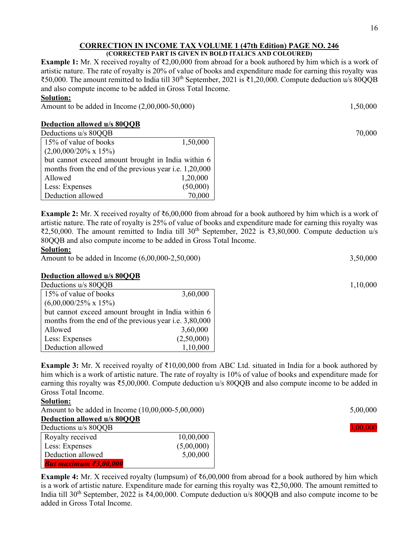#### CORRECTION IN INCOME TAX VOLUME 1 (47th Edition) PAGE NO. 246 (CORRECTED PART IS GIVEN IN BOLD ITALICS AND COLOURED)

Example 1: Mr. X received royalty of ₹2,00,000 from abroad for a book authored by him which is a work of artistic nature. The rate of royalty is 20% of value of books and expenditure made for earning this royalty was ₹50,000. The amount remitted to India till 30th September, 2021 is ₹1,20,000. Compute deduction u/s 80QQB and also compute income to be added in Gross Total Income.

#### Solution:

Amount to be added in Income (2,00,000-50,000) 1,50,000 1,50,000

## Deduction allowed u/s 80QQB

| Deductions u/s 80QQB                                   |          | 70,000 |
|--------------------------------------------------------|----------|--------|
| 15% of value of books                                  | 1,50,000 |        |
| $(2,00,000/20\% \times 15\%)$                          |          |        |
| but cannot exceed amount brought in India within 6     |          |        |
| months from the end of the previous year i.e. 1,20,000 |          |        |
| Allowed                                                | 1,20,000 |        |
| Less: Expenses                                         | (50,000) |        |
| Deduction allowed                                      | 70,000   |        |

**Example 2:** Mr. X received royalty of  $\overline{66,00,000}$  from abroad for a book authored by him which is a work of artistic nature. The rate of royalty is 25% of value of books and expenditure made for earning this royalty was ₹2,50,000. The amount remitted to India till 30th September, 2022 is ₹3,80,000. Compute deduction u/s 80QQB and also compute income to be added in Gross Total Income.

#### Solution:

Amount to be added in Income (6,00,000-2,50,000) 3,50,000 3,50,000

## Deduction allowed u/s 80QQB

| Deductions u/s 80QQB                                   |            | 1,10,000 |
|--------------------------------------------------------|------------|----------|
| 15% of value of books                                  | 3,60,000   |          |
| $(6,00,000/25\% \times 15\%)$                          |            |          |
| but cannot exceed amount brought in India within 6     |            |          |
| months from the end of the previous year i.e. 3,80,000 |            |          |
| Allowed                                                | 3,60,000   |          |
| Less: Expenses                                         | (2,50,000) |          |
| Deduction allowed                                      | 1,10,000   |          |

Example 3: Mr. X received royalty of ₹10,00,000 from ABC Ltd. situated in India for a book authored by him which is a work of artistic nature. The rate of royalty is 10% of value of books and expenditure made for earning this royalty was ₹5,00,000. Compute deduction u/s 80QQB and also compute income to be added in Gross Total Income.

## Solution:

Amount to be added in Income (10,00,000-5,00,000) 5,00,000 5,00,000

#### Deduction allowed u/s 80OOB Deductions u/s 8000B 3,00,000

| Deductions als out to |            |
|-----------------------|------------|
| Royalty received      | 10,00,000  |
| Less: Expenses        | (5,00,000) |
| Deduction allowed     | 5,00,000   |
| But maximum ₹3,00,000 |            |

**Example 4:** Mr. X received royalty (lumpsum) of  $\bar{\tau}6,00,000$  from abroad for a book authored by him which is a work of artistic nature. Expenditure made for earning this royalty was ₹2,50,000. The amount remitted to India till 30th September, 2022 is ₹4,00,000. Compute deduction u/s 80QQB and also compute income to be added in Gross Total Income.